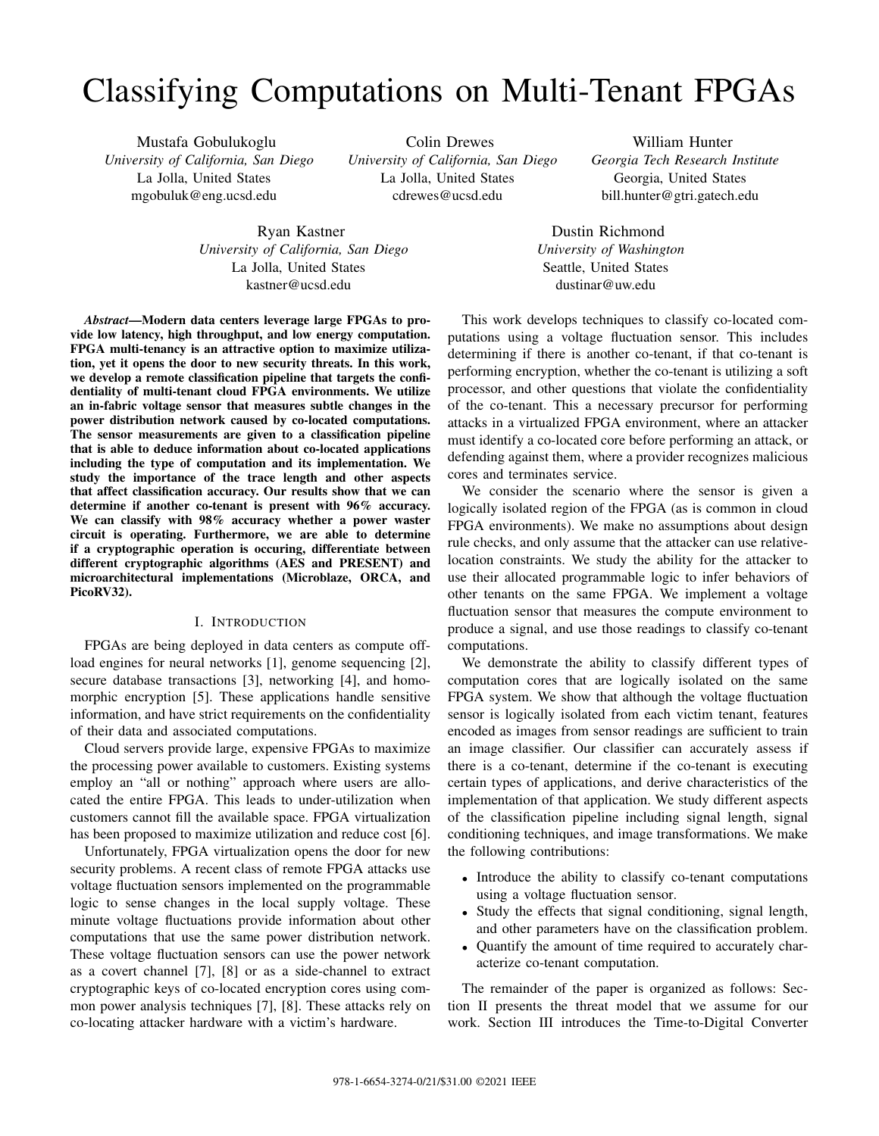# Classifying Computations on Multi-Tenant FPGAs

Mustafa Gobulukoglu *University of California, San Diego* La Jolla, United States mgobuluk@eng.ucsd.edu

Colin Drewes *University of California, San Diego* La Jolla, United States cdrewes@ucsd.edu

William Hunter *Georgia Tech Research Institute* Georgia, United States bill.hunter@gtri.gatech.edu

Ryan Kastner *University of California, San Diego* La Jolla, United States kastner@ucsd.edu

*Abstract*—Modern data centers leverage large FPGAs to provide low latency, high throughput, and low energy computation. FPGA multi-tenancy is an attractive option to maximize utilization, yet it opens the door to new security threats. In this work, we develop a remote classification pipeline that targets the confidentiality of multi-tenant cloud FPGA environments. We utilize an in-fabric voltage sensor that measures subtle changes in the power distribution network caused by co-located computations. The sensor measurements are given to a classification pipeline that is able to deduce information about co-located applications including the type of computation and its implementation. We study the importance of the trace length and other aspects that affect classification accuracy. Our results show that we can determine if another co-tenant is present with 96% accuracy. We can classify with 98% accuracy whether a power waster circuit is operating. Furthermore, we are able to determine if a cryptographic operation is occuring, differentiate between different cryptographic algorithms (AES and PRESENT) and microarchitectural implementations (Microblaze, ORCA, and PicoRV32).

## I. INTRODUCTION

FPGAs are being deployed in data centers as compute offload engines for neural networks [\[1\]](#page-5-0), genome sequencing [\[2\]](#page-5-1), secure database transactions [\[3\]](#page-5-2), networking [\[4\]](#page-5-3), and homomorphic encryption [\[5\]](#page-5-4). These applications handle sensitive information, and have strict requirements on the confidentiality of their data and associated computations.

Cloud servers provide large, expensive FPGAs to maximize the processing power available to customers. Existing systems employ an "all or nothing" approach where users are allocated the entire FPGA. This leads to under-utilization when customers cannot fill the available space. FPGA virtualization has been proposed to maximize utilization and reduce cost [\[6\]](#page-5-5).

Unfortunately, FPGA virtualization opens the door for new security problems. A recent class of remote FPGA attacks use voltage fluctuation sensors implemented on the programmable logic to sense changes in the local supply voltage. These minute voltage fluctuations provide information about other computations that use the same power distribution network. These voltage fluctuation sensors can use the power network as a covert channel [\[7\]](#page-5-6), [\[8\]](#page-5-7) or as a side-channel to extract cryptographic keys of co-located encryption cores using common power analysis techniques [\[7\]](#page-5-6), [\[8\]](#page-5-7). These attacks rely on co-locating attacker hardware with a victim's hardware.

This work develops techniques to classify co-located computations using a voltage fluctuation sensor. This includes determining if there is another co-tenant, if that co-tenant is performing encryption, whether the co-tenant is utilizing a soft processor, and other questions that violate the confidentiality of the co-tenant. This a necessary precursor for performing attacks in a virtualized FPGA environment, where an attacker must identify a co-located core before performing an attack, or defending against them, where a provider recognizes malicious cores and terminates service.

Dustin Richmond *University of Washington* Seattle, United States dustinar@uw.edu

We consider the scenario where the sensor is given a logically isolated region of the FPGA (as is common in cloud FPGA environments). We make no assumptions about design rule checks, and only assume that the attacker can use relativelocation constraints. We study the ability for the attacker to use their allocated programmable logic to infer behaviors of other tenants on the same FPGA. We implement a voltage fluctuation sensor that measures the compute environment to produce a signal, and use those readings to classify co-tenant computations.

We demonstrate the ability to classify different types of computation cores that are logically isolated on the same FPGA system. We show that although the voltage fluctuation sensor is logically isolated from each victim tenant, features encoded as images from sensor readings are sufficient to train an image classifier. Our classifier can accurately assess if there is a co-tenant, determine if the co-tenant is executing certain types of applications, and derive characteristics of the implementation of that application. We study different aspects of the classification pipeline including signal length, signal conditioning techniques, and image transformations. We make the following contributions:

- Introduce the ability to classify co-tenant computations using a voltage fluctuation sensor.
- Study the effects that signal conditioning, signal length, and other parameters have on the classification problem.
- Quantify the amount of time required to accurately characterize co-tenant computation.

The remainder of the paper is organized as follows: Section [II](#page-1-0) presents the threat model that we assume for our work. Section [III](#page-1-1) introduces the Time-to-Digital Converter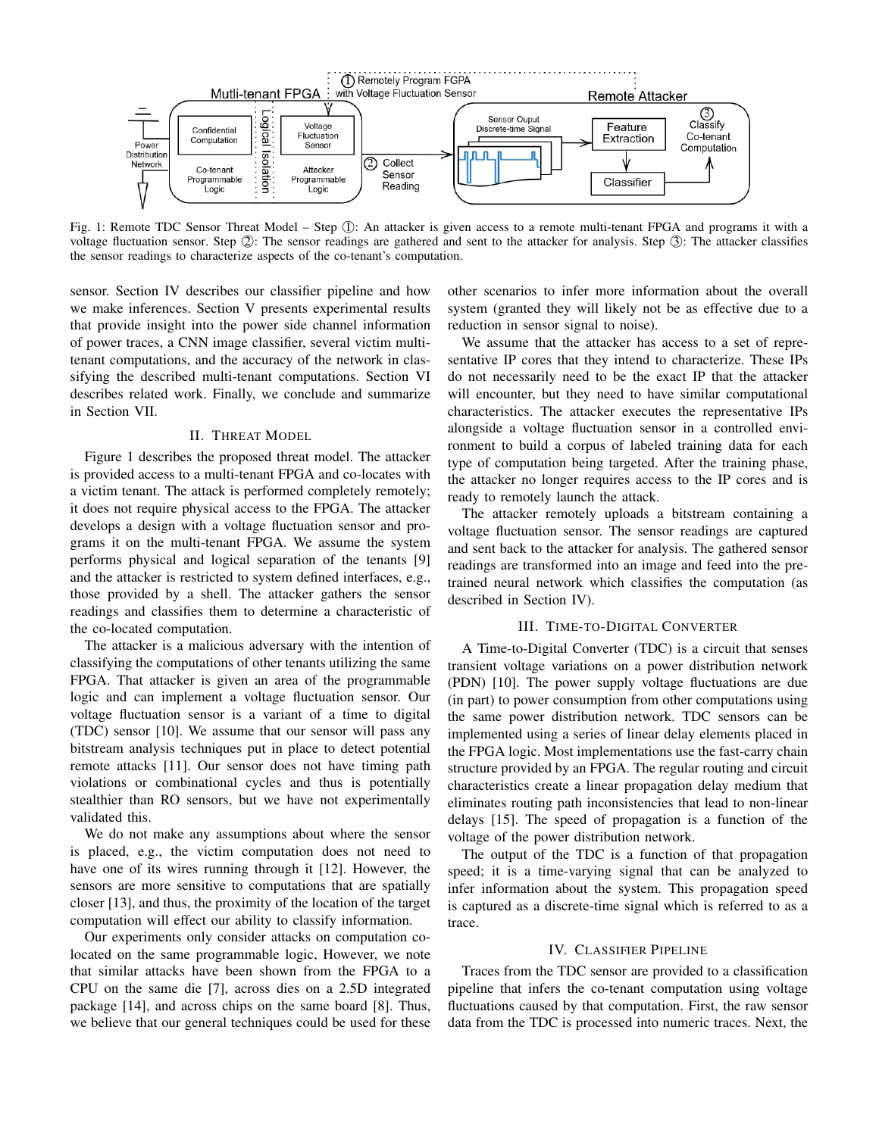<span id="page-1-3"></span>

Fig. 1: Remote TDC Sensor Threat Model – Step ①: An attacker is given access to a remote multi-tenant FPGA and programs it with a voltage fluctuation sensor. Step  $\mathbb{Q}$ : The sensor readings are gathered and sent to the attacker for analysis. Step  $\mathbb{Q}$ : The attacker classifies the sensor readings to characterize aspects of the co-tenant's computation.

sensor. Section [IV](#page-1-2) describes our classifier pipeline and how we make inferences. Section [V](#page-2-0) presents experimental results that provide insight into the power side channel information of power traces, a CNN image classifier, several victim multitenant computations, and the accuracy of the network in classifying the described multi-tenant computations. Section [VI](#page-4-0) describes related work. Finally, we conclude and summarize in Section [VII.](#page-5-8)

## II. THREAT MODEL

<span id="page-1-0"></span>Figure [1](#page-1-3) describes the proposed threat model. The attacker is provided access to a multi-tenant FPGA and co-locates with a victim tenant. The attack is performed completely remotely; it does not require physical access to the FPGA. The attacker develops a design with a voltage fluctuation sensor and programs it on the multi-tenant FPGA. We assume the system performs physical and logical separation of the tenants [\[9\]](#page-5-9) and the attacker is restricted to system defined interfaces, e.g., those provided by a shell. The attacker gathers the sensor readings and classifies them to determine a characteristic of the co-located computation.

The attacker is a malicious adversary with the intention of classifying the computations of other tenants utilizing the same FPGA. That attacker is given an area of the programmable logic and can implement a voltage fluctuation sensor. Our voltage fluctuation sensor is a variant of a time to digital (TDC) sensor [\[10\]](#page-5-10). We assume that our sensor will pass any bitstream analysis techniques put in place to detect potential remote attacks [\[11\]](#page-5-11). Our sensor does not have timing path violations or combinational cycles and thus is potentially stealthier than RO sensors, but we have not experimentally validated this.

We do not make any assumptions about where the sensor is placed, e.g., the victim computation does not need to have one of its wires running through it [\[12\]](#page-5-12). However, the sensors are more sensitive to computations that are spatially closer [\[13\]](#page-5-13), and thus, the proximity of the location of the target computation will effect our ability to classify information.

Our experiments only consider attacks on computation colocated on the same programmable logic, However, we note that similar attacks have been shown from the FPGA to a CPU on the same die [\[7\]](#page-5-6), across dies on a 2.5D integrated package [\[14\]](#page-5-14), and across chips on the same board [\[8\]](#page-5-7). Thus, we believe that our general techniques could be used for these

other scenarios to infer more information about the overall system (granted they will likely not be as effective due to a reduction in sensor signal to noise).

We assume that the attacker has access to a set of representative IP cores that they intend to characterize. These IPs do not necessarily need to be the exact IP that the attacker will encounter, but they need to have similar computational characteristics. The attacker executes the representative IPs alongside a voltage fluctuation sensor in a controlled environment to build a corpus of labeled training data for each type of computation being targeted. After the training phase, the attacker no longer requires access to the IP cores and is ready to remotely launch the attack.

The attacker remotely uploads a bitstream containing a voltage fluctuation sensor. The sensor readings are captured and sent back to the attacker for analysis. The gathered sensor readings are transformed into an image and feed into the pretrained neural network which classifies the computation (as described in Section [IV\)](#page-1-2).

## III. TIME-TO-DIGITAL CONVERTER

<span id="page-1-1"></span>A Time-to-Digital Converter (TDC) is a circuit that senses transient voltage variations on a power distribution network (PDN) [\[10\]](#page-5-10). The power supply voltage fluctuations are due (in part) to power consumption from other computations using the same power distribution network. TDC sensors can be implemented using a series of linear delay elements placed in the FPGA logic. Most implementations use the fast-carry chain structure provided by an FPGA. The regular routing and circuit characteristics create a linear propagation delay medium that eliminates routing path inconsistencies that lead to non-linear delays [\[15\]](#page-5-15). The speed of propagation is a function of the voltage of the power distribution network.

The output of the TDC is a function of that propagation speed; it is a time-varying signal that can be analyzed to infer information about the system. This propagation speed is captured as a discrete-time signal which is referred to as a trace.

#### IV. CLASSIFIER PIPELINE

<span id="page-1-2"></span>Traces from the TDC sensor are provided to a classification pipeline that infers the co-tenant computation using voltage fluctuations caused by that computation. First, the raw sensor data from the TDC is processed into numeric traces. Next, the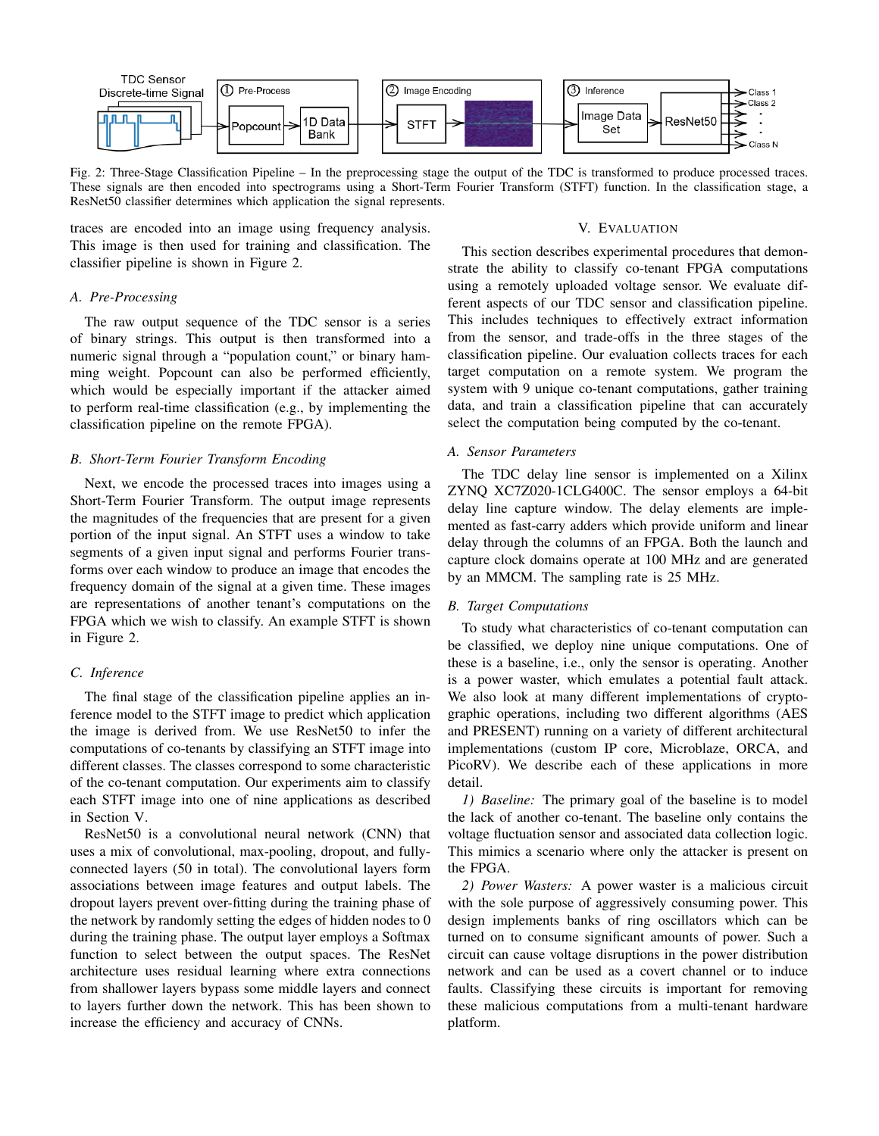<span id="page-2-1"></span>

Fig. 2: Three-Stage Classification Pipeline – In the preprocessing stage the output of the TDC is transformed to produce processed traces. These signals are then encoded into spectrograms using a Short-Term Fourier Transform (STFT) function. In the classification stage, a ResNet50 classifier determines which application the signal represents.

traces are encoded into an image using frequency analysis. This image is then used for training and classification. The classifier pipeline is shown in Figure [2.](#page-2-1)

## *A. Pre-Processing*

The raw output sequence of the TDC sensor is a series of binary strings. This output is then transformed into a numeric signal through a "population count," or binary hamming weight. Popcount can also be performed efficiently, which would be especially important if the attacker aimed to perform real-time classification (e.g., by implementing the classification pipeline on the remote FPGA).

#### *B. Short-Term Fourier Transform Encoding*

Next, we encode the processed traces into images using a Short-Term Fourier Transform. The output image represents the magnitudes of the frequencies that are present for a given portion of the input signal. An STFT uses a window to take segments of a given input signal and performs Fourier transforms over each window to produce an image that encodes the frequency domain of the signal at a given time. These images are representations of another tenant's computations on the FPGA which we wish to classify. An example STFT is shown in Figure [2.](#page-2-1)

#### *C. Inference*

The final stage of the classification pipeline applies an inference model to the STFT image to predict which application the image is derived from. We use ResNet50 to infer the computations of co-tenants by classifying an STFT image into different classes. The classes correspond to some characteristic of the co-tenant computation. Our experiments aim to classify each STFT image into one of nine applications as described in Section [V.](#page-2-0)

ResNet50 is a convolutional neural network (CNN) that uses a mix of convolutional, max-pooling, dropout, and fullyconnected layers (50 in total). The convolutional layers form associations between image features and output labels. The dropout layers prevent over-fitting during the training phase of the network by randomly setting the edges of hidden nodes to 0 during the training phase. The output layer employs a Softmax function to select between the output spaces. The ResNet architecture uses residual learning where extra connections from shallower layers bypass some middle layers and connect to layers further down the network. This has been shown to increase the efficiency and accuracy of CNNs.

## V. EVALUATION

<span id="page-2-0"></span>This section describes experimental procedures that demonstrate the ability to classify co-tenant FPGA computations using a remotely uploaded voltage sensor. We evaluate different aspects of our TDC sensor and classification pipeline. This includes techniques to effectively extract information from the sensor, and trade-offs in the three stages of the classification pipeline. Our evaluation collects traces for each target computation on a remote system. We program the system with 9 unique co-tenant computations, gather training data, and train a classification pipeline that can accurately select the computation being computed by the co-tenant.

#### *A. Sensor Parameters*

The TDC delay line sensor is implemented on a Xilinx ZYNQ XC7Z020-1CLG400C. The sensor employs a 64-bit delay line capture window. The delay elements are implemented as fast-carry adders which provide uniform and linear delay through the columns of an FPGA. Both the launch and capture clock domains operate at 100 MHz and are generated by an MMCM. The sampling rate is 25 MHz.

## *B. Target Computations*

To study what characteristics of co-tenant computation can be classified, we deploy nine unique computations. One of these is a baseline, i.e., only the sensor is operating. Another is a power waster, which emulates a potential fault attack. We also look at many different implementations of cryptographic operations, including two different algorithms (AES and PRESENT) running on a variety of different architectural implementations (custom IP core, Microblaze, ORCA, and PicoRV). We describe each of these applications in more detail.

*1) Baseline:* The primary goal of the baseline is to model the lack of another co-tenant. The baseline only contains the voltage fluctuation sensor and associated data collection logic. This mimics a scenario where only the attacker is present on the FPGA.

*2) Power Wasters:* A power waster is a malicious circuit with the sole purpose of aggressively consuming power. This design implements banks of ring oscillators which can be turned on to consume significant amounts of power. Such a circuit can cause voltage disruptions in the power distribution network and can be used as a covert channel or to induce faults. Classifying these circuits is important for removing these malicious computations from a multi-tenant hardware platform.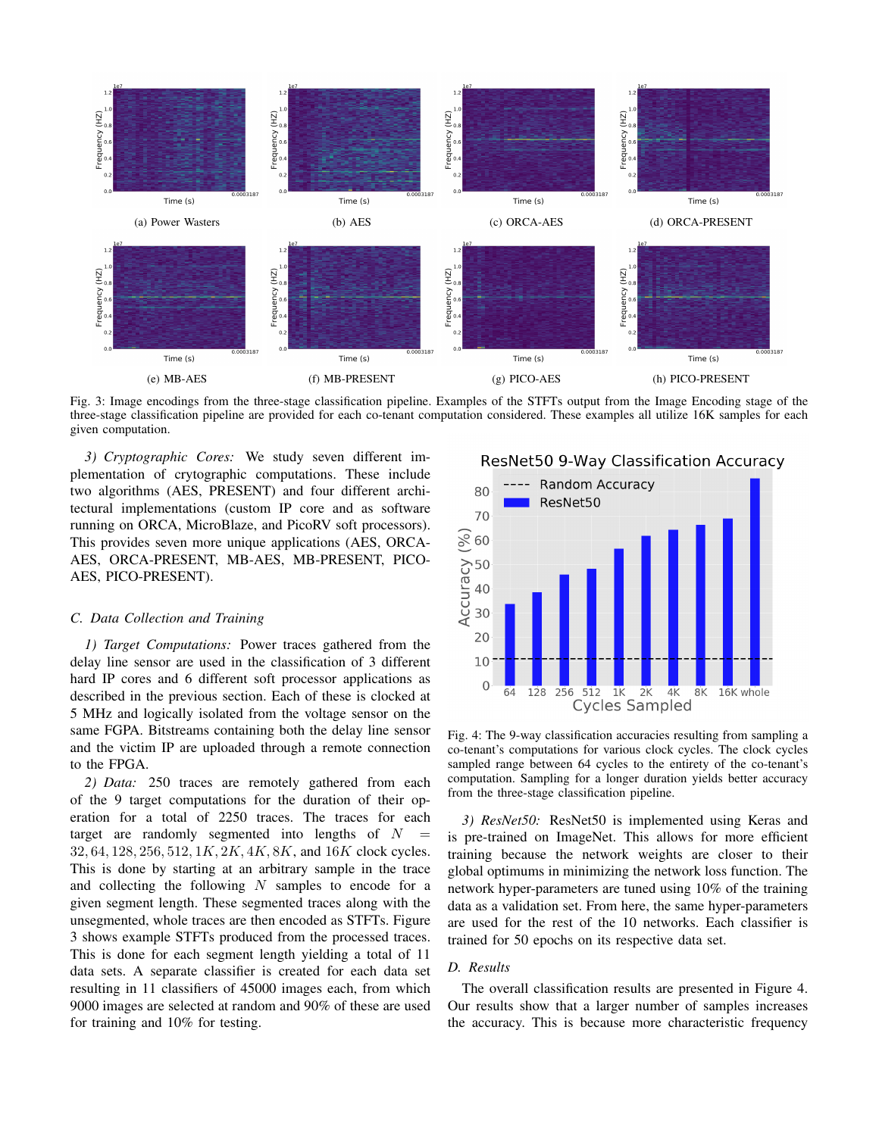<span id="page-3-0"></span>

Fig. 3: Image encodings from the three-stage classification pipeline. Examples of the STFTs output from the Image Encoding stage of the three-stage classification pipeline are provided for each co-tenant computation considered. These examples all utilize 16K samples for each given computation.

*3) Cryptographic Cores:* We study seven different implementation of crytographic computations. These include two algorithms (AES, PRESENT) and four different architectural implementations (custom IP core and as software running on ORCA, MicroBlaze, and PicoRV soft processors). This provides seven more unique applications (AES, ORCA-AES, ORCA-PRESENT, MB-AES, MB-PRESENT, PICO-AES, PICO-PRESENT).

## *C. Data Collection and Training*

*1) Target Computations:* Power traces gathered from the delay line sensor are used in the classification of 3 different hard IP cores and 6 different soft processor applications as described in the previous section. Each of these is clocked at 5 MHz and logically isolated from the voltage sensor on the same FGPA. Bitstreams containing both the delay line sensor and the victim IP are uploaded through a remote connection to the FPGA.

*2) Data:* 250 traces are remotely gathered from each of the 9 target computations for the duration of their operation for a total of 2250 traces. The traces for each target are randomly segmented into lengths of  $N =$ 32, 64, 128, 256, 512, 1K, 2K, 4K, 8K, and 16K clock cycles. This is done by starting at an arbitrary sample in the trace and collecting the following  $N$  samples to encode for a given segment length. These segmented traces along with the unsegmented, whole traces are then encoded as STFTs. Figure [3](#page-3-0) shows example STFTs produced from the processed traces. This is done for each segment length yielding a total of 11 data sets. A separate classifier is created for each data set resulting in 11 classifiers of 45000 images each, from which 9000 images are selected at random and 90% of these are used for training and 10% for testing.

<span id="page-3-1"></span>

Fig. 4: The 9-way classification accuracies resulting from sampling a co-tenant's computations for various clock cycles. The clock cycles sampled range between 64 cycles to the entirety of the co-tenant's computation. Sampling for a longer duration yields better accuracy from the three-stage classification pipeline.

*3) ResNet50:* ResNet50 is implemented using Keras and is pre-trained on ImageNet. This allows for more efficient training because the network weights are closer to their global optimums in minimizing the network loss function. The network hyper-parameters are tuned using 10% of the training data as a validation set. From here, the same hyper-parameters are used for the rest of the 10 networks. Each classifier is trained for 50 epochs on its respective data set.

# *D. Results*

The overall classification results are presented in Figure [4.](#page-3-1) Our results show that a larger number of samples increases the accuracy. This is because more characteristic frequency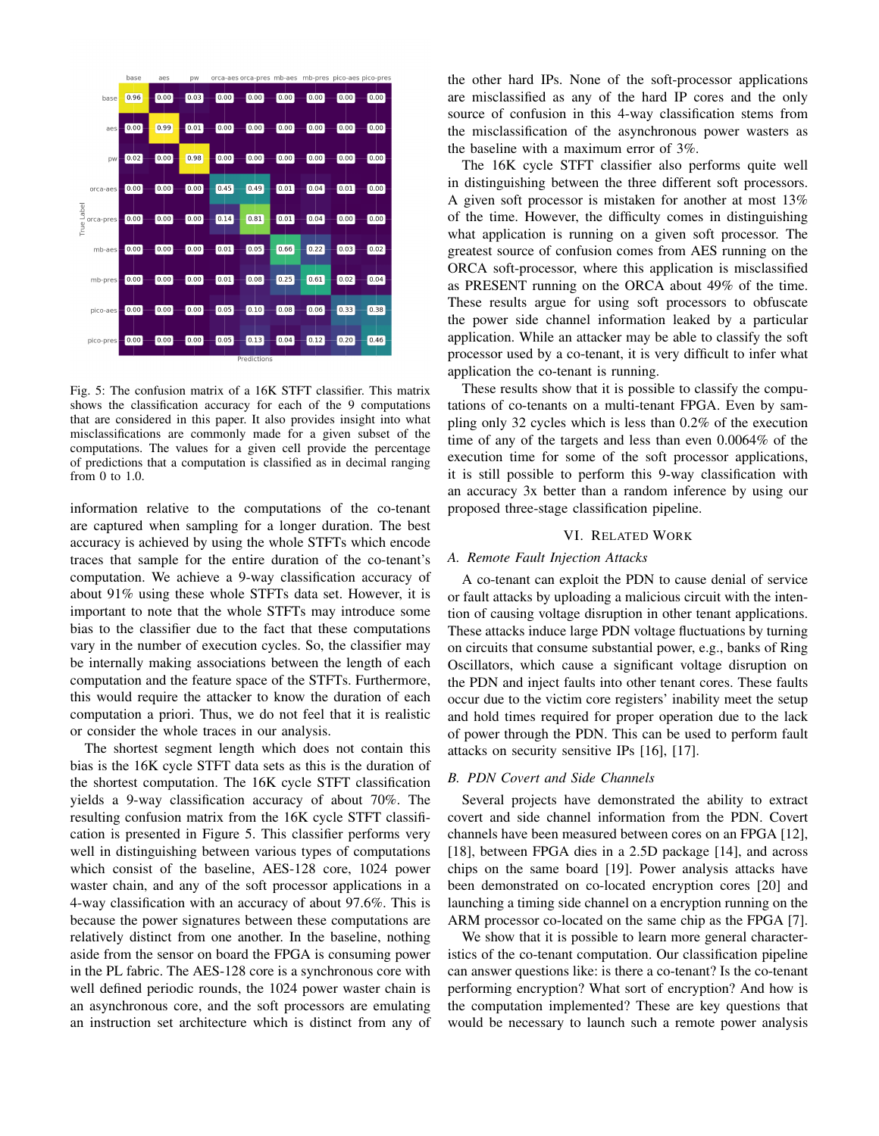<span id="page-4-1"></span>

Fig. 5: The confusion matrix of a 16K STFT classifier. This matrix shows the classification accuracy for each of the 9 computations that are considered in this paper. It also provides insight into what misclassifications are commonly made for a given subset of the computations. The values for a given cell provide the percentage of predictions that a computation is classified as in decimal ranging from 0 to 1.0.

information relative to the computations of the co-tenant are captured when sampling for a longer duration. The best accuracy is achieved by using the whole STFTs which encode traces that sample for the entire duration of the co-tenant's computation. We achieve a 9-way classification accuracy of about 91% using these whole STFTs data set. However, it is important to note that the whole STFTs may introduce some bias to the classifier due to the fact that these computations vary in the number of execution cycles. So, the classifier may be internally making associations between the length of each computation and the feature space of the STFTs. Furthermore, this would require the attacker to know the duration of each computation a priori. Thus, we do not feel that it is realistic or consider the whole traces in our analysis.

The shortest segment length which does not contain this bias is the 16K cycle STFT data sets as this is the duration of the shortest computation. The 16K cycle STFT classification yields a 9-way classification accuracy of about 70%. The resulting confusion matrix from the 16K cycle STFT classification is presented in Figure [5.](#page-4-1) This classifier performs very well in distinguishing between various types of computations which consist of the baseline, AES-128 core, 1024 power waster chain, and any of the soft processor applications in a 4-way classification with an accuracy of about 97.6%. This is because the power signatures between these computations are relatively distinct from one another. In the baseline, nothing aside from the sensor on board the FPGA is consuming power in the PL fabric. The AES-128 core is a synchronous core with well defined periodic rounds, the 1024 power waster chain is an asynchronous core, and the soft processors are emulating an instruction set architecture which is distinct from any of the other hard IPs. None of the soft-processor applications are misclassified as any of the hard IP cores and the only source of confusion in this 4-way classification stems from the misclassification of the asynchronous power wasters as the baseline with a maximum error of 3%.

The 16K cycle STFT classifier also performs quite well in distinguishing between the three different soft processors. A given soft processor is mistaken for another at most 13% of the time. However, the difficulty comes in distinguishing what application is running on a given soft processor. The greatest source of confusion comes from AES running on the ORCA soft-processor, where this application is misclassified as PRESENT running on the ORCA about 49% of the time. These results argue for using soft processors to obfuscate the power side channel information leaked by a particular application. While an attacker may be able to classify the soft processor used by a co-tenant, it is very difficult to infer what application the co-tenant is running.

These results show that it is possible to classify the computations of co-tenants on a multi-tenant FPGA. Even by sampling only 32 cycles which is less than 0.2% of the execution time of any of the targets and less than even 0.0064% of the execution time for some of the soft processor applications, it is still possible to perform this 9-way classification with an accuracy 3x better than a random inference by using our proposed three-stage classification pipeline.

#### VI. RELATED WORK

# <span id="page-4-0"></span>*A. Remote Fault Injection Attacks*

A co-tenant can exploit the PDN to cause denial of service or fault attacks by uploading a malicious circuit with the intention of causing voltage disruption in other tenant applications. These attacks induce large PDN voltage fluctuations by turning on circuits that consume substantial power, e.g., banks of Ring Oscillators, which cause a significant voltage disruption on the PDN and inject faults into other tenant cores. These faults occur due to the victim core registers' inability meet the setup and hold times required for proper operation due to the lack of power through the PDN. This can be used to perform fault attacks on security sensitive IPs [\[16\]](#page-5-16), [\[17\]](#page-5-17).

## *B. PDN Covert and Side Channels*

Several projects have demonstrated the ability to extract covert and side channel information from the PDN. Covert channels have been measured between cores on an FPGA [\[12\]](#page-5-12), [\[18\]](#page-5-18), between FPGA dies in a 2.5D package [\[14\]](#page-5-14), and across chips on the same board [\[19\]](#page-5-19). Power analysis attacks have been demonstrated on co-located encryption cores [\[20\]](#page-5-20) and launching a timing side channel on a encryption running on the ARM processor co-located on the same chip as the FPGA [\[7\]](#page-5-6).

We show that it is possible to learn more general characteristics of the co-tenant computation. Our classification pipeline can answer questions like: is there a co-tenant? Is the co-tenant performing encryption? What sort of encryption? And how is the computation implemented? These are key questions that would be necessary to launch such a remote power analysis